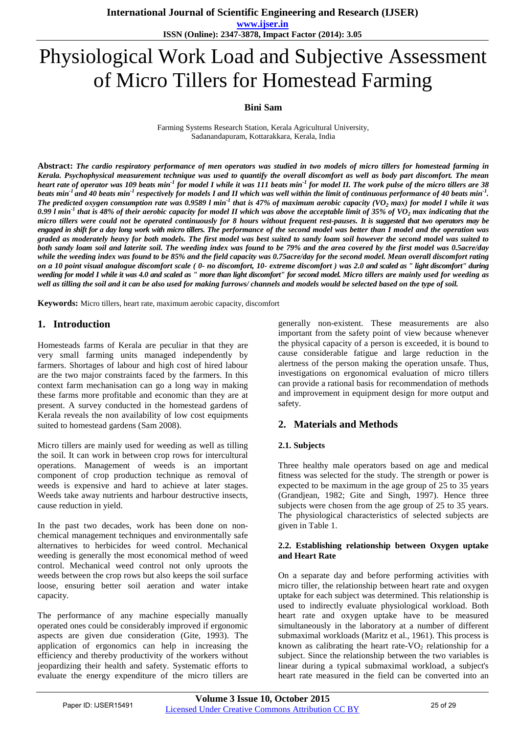**International Journal of Scientific Engineering and Research (IJSER)** 

**www.ijser.in ISSN (Online): 2347-3878, Impact Factor (2014): 3.05**

# Physiological Work Load and Subjective Assessment of Micro Tillers for Homestead Farming

## **Bini Sam**

Farming Systems Research Station, Kerala Agricultural University, Sadanandapuram, Kottarakkara[, Kerala,](mailto:binisamkau@gmail.com) India

**Abstract:** *The cardio respiratory performance of men operators was studied in two models of micro tillers for homestead farming in Kerala. Psychophysical measurement technique was used to quantify the overall discomfort as well as body part discomfort. The mean heart rate of operator was 109 beats min-1 for model I while it was 111 beats min-1 for model II. The work pulse of the micro tillers are 38 beats min-1 and 40 beats min-1 respectively for models I and II which was well within the limit of continuous performance of 40 beats min-1 . The predicted oxygen consumption rate was 0.9589 l min-1 that is 47% of maximum aerobic capacity (VO<sup>2</sup> max) for model I while it was 0.99 l min-1 that is 48% of their aerobic capacity for model II which was above the acceptable limit of 35% of VO<sup>2</sup> max indicating that the micro tillers were could not be operated continuously for 8 hours without frequent rest-pauses. It is suggested that two operators may be engaged in shift for a day long work with micro tillers. The performance of the second model was better than I model and the operation was graded as moderately heavy for both models. The first model was best suited to sandy loam soil however the second model was suited to both sandy loam soil and laterite soil. The weeding index was found to be 79% and the area covered by the first model was 0.5acre/day while the weeding index was found to be 85% and the field capacity was 0.75acre/day for the second model. Mean overall discomfort rating on a 10 point visual analogue discomfort scale ( 0- no discomfort, 10- extreme discomfort ) was 2.0 and scaled as " light discomfort" during weeding for model I while it was 4.0 and scaled as " more than light discomfort" for second model. Micro tillers are mainly used for weeding as well as tilling the soil and it can be also used for making furrows/ channels and models would be selected based on the type of soil.*

**Keywords:** Micro tillers, heart rate, maximum aerobic capacity, discomfort

# **1. Introduction**

Homesteads farms of Kerala are peculiar in that they are very small farming units managed independently by farmers. Shortages of labour and high cost of hired labour are the two major constraints faced by the farmers. In this context farm mechanisation can go a long way in making these farms more profitable and economic than they are at present. A survey conducted in the homestead gardens of Kerala reveals the non availability of low cost equipments suited to homestead gardens (Sam 2008).

Micro tillers are mainly used for weeding as well as tilling the soil. It can work in between crop rows for intercultural operations. Management of weeds is an important component of crop production technique as removal of weeds is expensive and hard to achieve at later stages. Weeds take away nutrients and harbour destructive insects, cause reduction in yield.

In the past two decades, work has been done on nonchemical management techniques and environmentally safe alternatives to herbicides for weed control. Mechanical weeding is generally the most economical method of weed control. Mechanical weed control not only uproots the weeds between the crop rows but also keeps the soil surface loose, ensuring better soil aeration and water intake capacity.

The performance of any machine especially manually operated ones could be considerably improved if ergonomic aspects are given due consideration (Gite, 1993). The application of ergonomics can help in increasing the efficiency and thereby productivity of the workers without jeopardizing their health and safety. Systematic efforts to evaluate the energy expenditure of the micro tillers are

generally non-existent. These measurements are also important from the safety point of view because whenever the physical capacity of a person is exceeded, it is bound to cause considerable fatigue and large reduction in the alertness of the person making the operation unsafe. Thus, investigations on ergonomical evaluation of micro tillers can provide a rational basis for recommendation of methods and improvement in equipment design for more output and safety.

# **2. Materials and Methods**

## **2.1. Subjects**

Three healthy male operators based on age and medical fitness was selected for the study. The strength or power is expected to be maximum in the age group of 25 to 35 years (Grandjean, 1982; Gite and Singh, 1997). Hence three subjects were chosen from the age group of 25 to 35 years. The physiological characteristics of selected subjects are given in Table 1.

#### **2.2. Establishing relationship between Oxygen uptake and Heart Rate**

On a separate day and before performing activities with micro tiller, the relationship between heart rate and oxygen uptake for each subject was determined. This relationship is used to indirectly evaluate physiological workload. Both heart rate and oxygen uptake have to be measured simultaneously in the laboratory at a number of different submaximal workloads (Maritz et al., 1961). This process is known as calibrating the heart rate- $VO<sub>2</sub>$  relationship for a subject. Since the relationship between the two variables is linear during a typical submaximal workload, a subject's heart rate measured in the field can be converted into an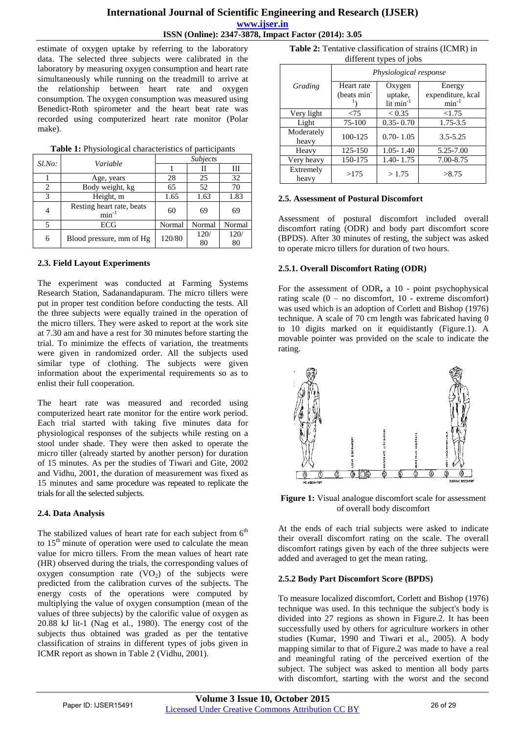estimate of oxygen uptake by referring to the laboratory data. The selected three subjects were calibrated in the laboratory by measuring oxygen consumption and heart rate simultaneously while running on the treadmill to arrive at the relationship between heart rate and oxygen consumption. The oxygen consumption was measured using Benedict-Roth spirometer and the heart beat rate was recorded using computerized heart rate monitor (Polar make).

| $Sl$ .No:      | Variable                                | <b>Subjects</b> |        |        |
|----------------|-----------------------------------------|-----------------|--------|--------|
|                |                                         |                 | Н      | Ш      |
|                | Age, years                              | 28              | 25     | 32     |
|                | Body weight, kg                         | 65              | 52     | 70     |
| 3              | Height, m                               | 1.65            | 1.63   | 1.83   |
| $\overline{4}$ | Resting heart rate, beats<br>$min^{-1}$ | 60              | 69     | 69     |
| 5              | ECG                                     | Normal          | Normal | Normal |
| 6              | Blood pressure, mm of Hg                | 120/80          | 120/   | 120/   |
|                |                                         |                 | 80     | 80     |

**Table 1:** Physiological characteristics of participants

## **2.3. Field Layout Experiments**

The experiment was conducted at Farming Systems Research Station, Sadanandapuram. The micro tillers were put in proper test condition before conducting the tests. All the three subjects were equally trained in the operation of the micro tillers. They were asked to report at the work site at 7.30 am and have a rest for 30 minutes before starting the trial. To minimize the effects of variation, the treatments were given in randomized order. All the subjects used similar type of clothing. The subjects were given information about the experimental requirements so as to enlist their full cooperation.

The heart rate was measured and recorded using computerized heart rate monitor for the entire work period. Each trial started with taking five minutes data for physiological responses of the subjects while resting on a stool under shade. They were then asked to operate the micro tiller (already started by another person) for duration of 15 minutes. As per the studies of Tiwari and Gite, 2002 and Vidhu, 2001, the duration of measurement was fixed as 15 minutes and same procedure was repeated to replicate the trials for all the selected subjects.

## **2.4. Data Analysis**

The stabilized values of heart rate for each subject from  $6<sup>th</sup>$ to  $15<sup>th</sup>$  minute of operation were used to calculate the mean value for micro tillers. From the mean values of heart rate (HR) observed during the trials, the corresponding values of oxygen consumption rate  $(VO<sub>2</sub>)$  of the subjects were predicted from the calibration curves of the subjects. The energy costs of the operations were computed by multiplying the value of oxygen consumption (mean of the values of three subjects) by the calorific value of oxygen as 20.88 kJ lit-1 (Nag et al., 1980). The energy cost of the subjects thus obtained was graded as per the tentative classification of strains in different types of jobs given in ICMR report as shown in Table 2 (Vidhu, 2001).

**Table 2:** Tentative classification of strains (ICMR) in different types of jobs

|                     | Physiological response  |                       |                   |  |  |
|---------------------|-------------------------|-----------------------|-------------------|--|--|
| Grading             | Heart rate              | Oxygen                | Energy            |  |  |
|                     | (beats min <sup>-</sup> | uptake,               | expenditure, kcal |  |  |
|                     |                         | lit min <sup>-1</sup> | $min^{-1}$        |  |  |
| Very light          | < 75                    | < 0.35                | < 1.75            |  |  |
| Light               | 75-100                  | $0.35 - 0.70$         | 1.75-3.5          |  |  |
| Moderately<br>heavy | 100-125                 | $0.70 - 1.05$         | $3.5 - 5.25$      |  |  |
| Heavy               | 125-150                 | $1.05 - 1.40$         | 5.25-7.00         |  |  |
| Very heavy          | 150-175                 | 1.40-1.75             | 7.00-8.75         |  |  |
| Extremely<br>heavy  | >175                    | >1.75                 | >8.75             |  |  |

#### **2.5. Assessment of Postural Discomfort**

Assessment of postural discomfort included overall discomfort rating (ODR) and body part discomfort score (BPDS). After 30 minutes of resting, the subject was asked to operate micro tillers for duration of two hours.

# **2.5.1. Overall Discomfort Rating (ODR)**

For the assessment of ODR**,** a 10 - point psychophysical rating scale  $(0 - no$  discomfort,  $10 - ext$ reme discomfort) was used which is an adoption of Corlett and Bishop (1976) technique. A scale of 70 cm length was fabricated having 0 to 10 digits marked on it equidistantly (Figure.1). A movable pointer was provided on the scale to indicate the rating.



**Figure 1:** Visual analogue discomfort scale for assessment of overall body discomfort

At the ends of each trial subjects were asked to indicate their overall discomfort rating on the scale. The overall discomfort ratings given by each of the three subjects were added and averaged to get the mean rating.

## **2.5.2 Body Part Discomfort Score (BPDS)**

To measure localized discomfort, Corlett and Bishop (1976) technique was used. In this technique the subject's body is divided into 27 regions as shown in Figure.2. It has been successfully used by others for agriculture workers in other studies (Kumar, 1990 and Tiwari et al., 2005). A body mapping similar to that of Figure.2 was made to have a real and meaningful rating of the perceived exertion of the subject. The subject was asked to mention all body parts with discomfort, starting with the worst and the second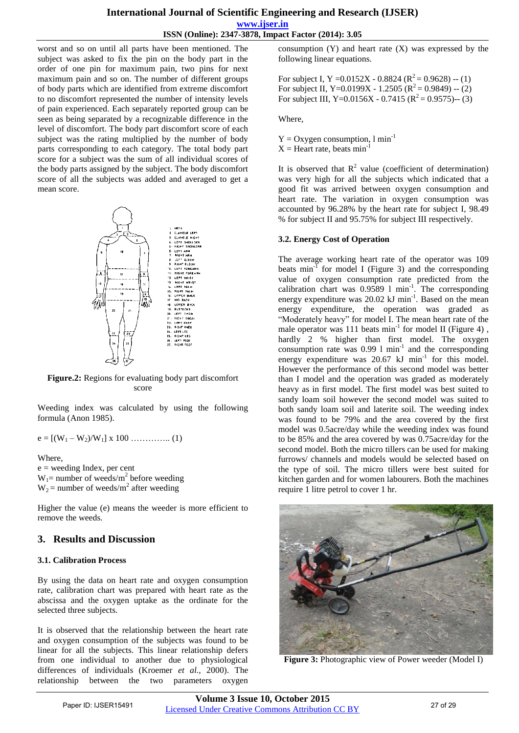**www.ijser.in ISSN (Online): 2347-3878, Impact Factor (2014): 3.05**

worst and so on until all parts have been mentioned. The subject was asked to fix the pin on the body part in the order of one pin for maximum pain, two pins for next maximum pain and so on. The number of different groups of body parts which are identified from extreme discomfort to no discomfort represented the number of intensity levels of pain experienced. Each separately reported group can be seen as being separated by a recognizable difference in the level of discomfort. The body part discomfort score of each subject was the rating multiplied by the number of body parts corresponding to each category. The total body part score for a subject was the sum of all individual scores of the body parts assigned by the subject. The body discomfort score of all the subjects was added and averaged to get a mean score.



**Figure.2:** Regions for evaluating body part discomfort score

Weeding index was calculated by using the following formula (Anon 1985).

e = [(W<sup>1</sup> – W2)/W1] x 100 ………….. (1)

Where,

 $e$  = weeding Index, per cent  $W_1$ = number of weeds/m<sup>2</sup> before weeding  $W_2$  = number of weeds/m<sup>2</sup> after weeding

Higher the value (e) means the weeder is more efficient to remove the weeds.

# **3. Results and Discussion**

## **3.1. Calibration Process**

By using the data on heart rate and oxygen consumption rate, calibration chart was prepared with heart rate as the abscissa and the oxygen uptake as the ordinate for the selected three subjects.

It is observed that the relationship between the heart rate and oxygen consumption of the subjects was found to be linear for all the subjects. This linear relationship defers from one individual to another due to physiological differences of individuals (Kroemer *et al.,* 2000). The relationship between the two parameters oxygen consumption  $(Y)$  and heart rate  $(X)$  was expressed by the following linear equations.

For subject I, Y = 0.0152X - 0.8824 ( $R^2$  = 0.9628) -- (1) For subject II, Y=0.0199X - 1.2505 ( $\mathbb{R}^2 = 0.9849$ ) -- (2) For subject III, Y=0.0156X - 0.7415 ( $R^2 = 0.9575$ )-- (3)

Where,

 $Y = Oxygen consumption, 1 min<sup>-1</sup>$  $X =$  Heart rate, beats min<sup>-1</sup>

It is observed that  $R^2$  value (coefficient of determination) was very high for all the subjects which indicated that a good fit was arrived between oxygen consumption and heart rate. The variation in oxygen consumption was accounted by 96.28% by the heart rate for subject I, 98.49 % for subject II and 95.75% for subject III respectively.

## **3.2. Energy Cost of Operation**

The average working heart rate of the operator was 109 beats  $min^{-1}$  for model I (Figure 3) and the corresponding value of oxygen consumption rate predicted from the calibration chart was 0.9589 1 min<sup>-1</sup>. The corresponding energy expenditure was 20.02 kJ min<sup>-1</sup>. Based on the mean energy expenditure, the operation was graded as "Moderately heavy" for model I. The mean heart rate of the male operator was  $111$  beats min<sup>-1</sup> for model II (Figure 4), hardly 2 % higher than first model. The oxygen consumption rate was  $0.99 \, 1 \, \text{min}^{-1}$  and the corresponding energy expenditure was  $20.67 \text{ kJ min}^{-1}$  for this model. However the performance of this second model was better than I model and the operation was graded as moderately heavy as in first model. The first model was best suited to sandy loam soil however the second model was suited to both sandy loam soil and laterite soil. The weeding index was found to be 79% and the area covered by the first model was 0.5acre/day while the weeding index was found to be 85% and the area covered by was 0.75acre/day for the second model. Both the micro tillers can be used for making furrows/ channels and models would be selected based on the type of soil. The micro tillers were best suited for kitchen garden and for women labourers. Both the machines require 1 litre petrol to cover 1 hr.



**Figure 3:** Photographic view of Power weeder (Model I)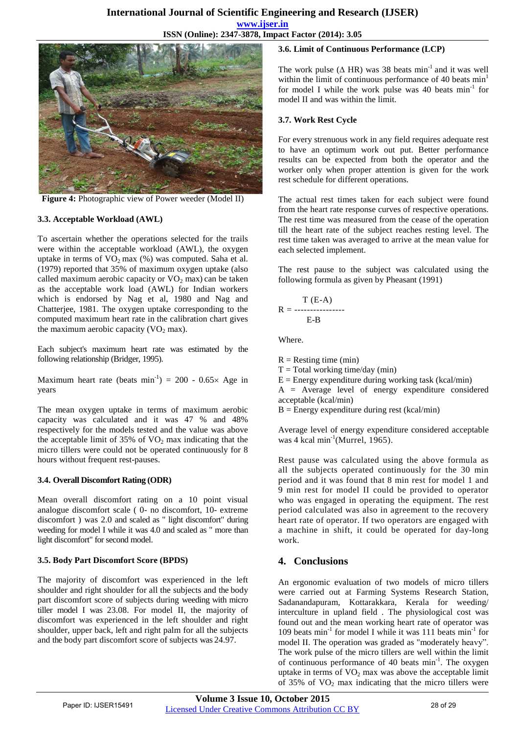**ISSN (Online): 2347-3878, Impact Factor (2014): 3.05**



**Figure 4:** Photographic view of Power weeder (Model II)

#### **3.3. Acceptable Workload (AWL)**

To ascertain whether the operations selected for the trails were within the acceptable workload (AWL), the oxygen uptake in terms of  $VO<sub>2</sub>$  max (%) was computed. Saha et al. (1979) reported that 35% of maximum oxygen uptake (also called maximum aerobic capacity or  $VO<sub>2</sub>$  max) can be taken as the acceptable work load (AWL) for Indian workers which is endorsed by Nag et al, 1980 and Nag and Chatterjee, 1981. The oxygen uptake corresponding to the computed maximum heart rate in the calibration chart gives the maximum aerobic capacity  $(VO<sub>2</sub> max)$ .

Each subject's maximum heart rate was estimated by the following relationship (Bridger, 1995).

Maximum heart rate (beats  $min^{-1}$ ) = 200 - 0.65× Age in years

The mean oxygen uptake in terms of maximum aerobic capacity was calculated and it was 47 % and 48% respectively for the models tested and the value was above the acceptable limit of  $35\%$  of  $VO<sub>2</sub>$  max indicating that the micro tillers were could not be operated continuously for 8 hours without frequent rest-pauses.

## **3.4. Overall Discomfort Rating (ODR)**

Mean overall discomfort rating on a 10 point visual analogue discomfort scale ( 0- no discomfort, 10- extreme discomfort ) was 2.0 and scaled as " light discomfort" during weeding for model I while it was 4.0 and scaled as " more than light discomfort" for second model.

#### **3.5. Body Part Discomfort Score (BPDS)**

The majority of discomfort was experienced in the left shoulder and right shoulder for all the subjects and the body part discomfort score of subjects during weeding with micro tiller model I was 23.08. For model II, the majority of discomfort was experienced in the left shoulder and right shoulder, upper back, left and right palm for all the subjects and the body part discomfort score of subjects was 24.97.

#### **3.6. Limit of Continuous Performance (LCP)**

The work pulse ( $\triangle$  HR) was 38 beats min<sup>-1</sup> and it was well within the limit of continuous performance of 40 beats  $min<sup>1</sup>$ for model I while the work pulse was 40 beats  $min^{-1}$  for model II and was within the limit.

#### **3.7. Work Rest Cycle**

For every strenuous work in any field requires adequate rest to have an optimum work out put. Better performance results can be expected from both the operator and the worker only when proper attention is given for the work rest schedule for different operations.

The actual rest times taken for each subject were found from the heart rate response curves of respective operations. The rest time was measured from the cease of the operation till the heart rate of the subject reaches resting level. The rest time taken was averaged to arrive at the mean value for each selected implement.

The rest pause to the subject was calculated using the following formula as given by Pheasant (1991)

$$
R = \frac{T (E-A)}{E-B}
$$

Where.

 $R =$  Resting time (min)

 $T = Total working time/day (min)$ 

 $E =$  Energy expenditure during working task (kcal/min)

 $A = Average level of energy expenditure considered$ acceptable (kcal/min)

 $B =$  Energy expenditure during rest (kcal/min)

Average level of energy expenditure considered acceptable was 4 kcal min<sup>-1</sup>(Murrel, 1965).

Rest pause was calculated using the above formula as all the subjects operated continuously for the 30 min period and it was found that 8 min rest for model 1 and 9 min rest for model II could be provided to operator who was engaged in operating the equipment. The rest period calculated was also in agreement to the recovery heart rate of operator. If two operators are engaged with a machine in shift, it could be operated for day-long work.

# **4. Conclusions**

An ergonomic evaluation of two models of micro tillers were carried out at Farming Systems Research Station, Sadanandapuram, Kottarakkara, Kerala for weeding/ interculture in upland field . The physiological cost was found out and the mean working heart rate of operator was 109 beats min<sup>-1</sup> for model I while it was 111 beats min<sup>-1</sup> for model II. The operation was graded as "moderately heavy". The work pulse of the micro tillers are well within the limit of continuous performance of 40 beats  $min^{-1}$ . The oxygen uptake in terms of  $VO<sub>2</sub>$  max was above the acceptable limit of  $35\%$  of VO<sub>2</sub> max indicating that the micro tillers were